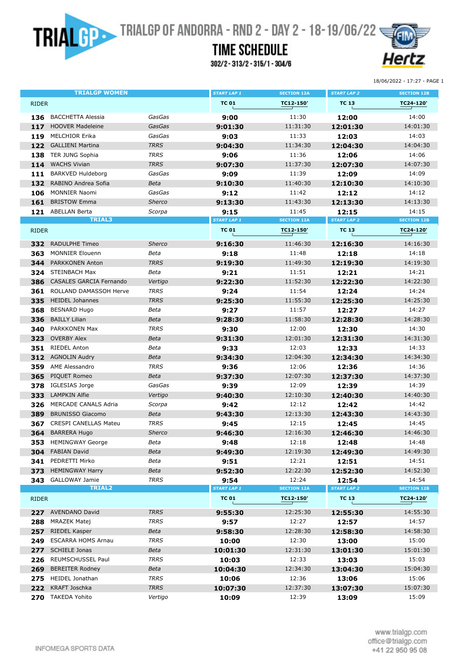**TRIAL CONTRIGUES** TRIALGP OF ANDORRA - RND 2 - DAY 2 - 18-19/06/22

## **TIME SCHEDULE**

302/2-313/2-315/1-304/6



18/06/2022 - 17:27 - PAGE 1

|              | <b>TRIALGP WOMEN</b>                     |               | <b>START LAP 1</b>         | <b>SECTION 12A</b>          | <b>START LAP 2</b>          | <b>SECTION 12B</b>          |
|--------------|------------------------------------------|---------------|----------------------------|-----------------------------|-----------------------------|-----------------------------|
| <b>RIDER</b> |                                          |               | <b>TC 01</b>               | TC12-150'                   | <b>TC 13</b>                | TC24-120'                   |
| 136          | <b>BACCHETTA Alessia</b>                 | GasGas        | 9:00                       | 11:30                       | 12:00                       | 14:00                       |
| 117          | <b>HOOVER Madeleine</b>                  | GasGas        | 9:01:30                    | 11:31:30                    | 12:01:30                    | 14:01:30                    |
| 119          | <b>MELCHIOR Erika</b>                    | GasGas        | 9:03                       | 11:33                       | 12:03                       | 14:03                       |
| 122          | <b>GALLIENI Martina</b>                  | <b>TRRS</b>   | 9:04:30                    | 11:34:30                    | 12:04:30                    | 14:04:30                    |
| 138          | <b>TER JUNG Sophia</b>                   | <b>TRRS</b>   | 9:06                       | 11:36                       | 12:06                       | 14:06                       |
| 114          | <b>WACHS Vivian</b>                      | <b>TRRS</b>   | 9:07:30                    | 11:37:30                    | 12:07:30                    | 14:07:30                    |
| 111          | <b>BARKVED Huldeborg</b>                 | GasGas        | 9:09                       | 11:39                       | 12:09                       | 14:09                       |
| 132          | RABINO Andrea Sofia                      | Beta          | 9:10:30                    | 11:40:30                    | 12:10:30                    | 14:10:30                    |
| 106          | <b>MONNIER Naomi</b>                     | GasGas        | 9:12                       | 11:42                       | 12:12                       | 14:12                       |
| 161          | <b>BRISTOW Emma</b>                      | <b>Sherco</b> | 9:13:30                    | 11:43:30                    | 12:13:30                    | 14:13:30                    |
| 121          | <b>ABELLAN Berta</b>                     | Scorpa        | 9:15                       | 11:45                       | 12:15                       | 14:15                       |
|              | <b>TRIAL3</b>                            |               | <b>START LAP 1</b>         | <b>SECTION 12A</b>          | <b>START LAP 2</b>          | <b>SECTION 12B</b>          |
| <b>RIDER</b> |                                          | <b>TC 01</b>  | TC12-150'                  | <b>TC 13</b>                | TC24-120'                   |                             |
| 332          | <b>RADULPHE Timeo</b>                    | <b>Sherco</b> | 9:16:30                    | 11:46:30                    | 12:16:30                    | 14:16:30                    |
| 363          | <b>MONNIER Elouenn</b>                   | Beta          | 9:18                       | 11:48                       | 12:18                       | 14:18                       |
| 344          | PARKKONEN Anton                          | <b>TRRS</b>   | 9:19:30                    | 11:49:30                    | 12:19:30                    | 14:19:30                    |
|              | 324 STEINBACH Max                        | Beta          | 9:21                       | 11:51                       | 12:21                       | 14:21                       |
| 386          | <b>CASALES GARCIA Fernando</b>           | Vertigo       | 9:22:30                    | 11:52:30                    | 12:22:30                    | 14:22:30                    |
| 361          | ROLLAND DAMASSOH Herve                   | <b>TRRS</b>   | 9:24                       | 11:54                       | 12:24                       | 14:24                       |
| 335          | <b>HEIDEL Johannes</b>                   | <b>TRRS</b>   | 9:25:30                    | 11:55:30                    | 12:25:30                    | 14:25:30                    |
| 368          | <b>BESNARD Hugo</b>                      | Beta          | 9:27                       | 11:57                       | 12:27                       | 14:27                       |
| 336          | <b>BAILLY Lilian</b>                     | Beta          | 9:28:30                    | 11:58:30                    | 12:28:30                    | 14:28:30                    |
| 340          | PARKKONEN Max                            | <b>TRRS</b>   | 9:30                       | 12:00                       | 12:30                       | 14:30                       |
| 323          | <b>OVERBY Alex</b>                       | Beta          | 9:31:30                    | 12:01:30                    | 12:31:30                    | 14:31:30                    |
| 351          | <b>RIEDEL Anton</b>                      | Beta          | 9:33                       | 12:03                       | 12:33                       | 14:33                       |
| 312          | <b>AGNOLIN Audry</b>                     | Beta          | 9:34:30                    | 12:04:30                    | 12:34:30                    | 14:34:30                    |
| 359          | AME Alessandro                           | <b>TRRS</b>   | 9:36                       | 12:06                       | 12:36                       | 14:36                       |
| 365          | PIQUET Romeo                             | Beta          | 9:37:30                    | 12:07:30                    | 12:37:30                    | 14:37:30                    |
| 378          | IGLESIAS Jorge                           | GasGas        | 9:39                       | 12:09                       | 12:39                       | 14:39                       |
| 333          | <b>LAMPKIN Alfie</b>                     | Vertigo       | 9:40:30                    | 12:10:30                    | 12:40:30                    | 14:40:30                    |
| 326          | <b>MERCADE CANALS Adria</b>              | Scorpa        | 9:42                       | 12:12                       | 12:42                       | 14:42                       |
| 389          | <b>BRUNISSO Giacomo</b>                  | Beta          | 9:43:30                    | 12:13:30                    | 12:43:30                    | 14:43:30                    |
| 367          | <b>CRESPI CANELLAS Mateu</b>             | <b>TRRS</b>   | 9:45                       | 12:15                       | 12:45                       | 14:45                       |
| 364          | <b>BARRERA Hugo</b>                      | <b>Sherco</b> | 9:46:30                    | 12:16:30                    | 12:46:30                    | 14:46:30                    |
|              | 353 HEMINGWAY George                     | Beta          | 9:48                       | 12:18                       | 12:48                       | 14:48                       |
|              | 304 FABIAN David                         | Beta          | 9:49:30                    | 12:19:30                    | 12:49:30                    | 14:49:30                    |
| 341          | PEDRETTI Mirko                           | Beta          | 9:51                       | 12:21                       | 12:51                       | 14:51                       |
| 373          | <b>HEMINGWAY Harry</b>                   | Beta          | 9:52:30                    | 12:22:30                    | 12:52:30                    | 14:52:30                    |
|              | 343 GALLOWAY Jamie<br>TRIAL <sub>2</sub> | <b>TRRS</b>   | 9:54<br><b>START LAP 1</b> | 12:24<br><b>SECTION 12A</b> | 12:54<br><b>START LAP 2</b> | 14:54<br><b>SECTION 12B</b> |
| RIDER        |                                          | <b>TC 01</b>  | TC12-150'                  | <b>TC 13</b>                | TC24-120'                   |                             |
|              | 227 AVENDANO David                       | <b>TRRS</b>   | 9:55:30                    | 12:25:30                    | 12:55:30                    | 14:55:30                    |
| 288          | <b>MRAZEK Matej</b>                      | <b>TRRS</b>   | 9:57                       | 12:27                       | 12:57                       | 14:57                       |
| 257          | <b>RIEDEL Kasper</b>                     | Beta          | 9:58:30                    | 12:28:30                    | 12:58:30                    | 14:58:30                    |
| 249          | <b>ESCARRA HOMS Arnau</b>                | <b>TRRS</b>   | 10:00                      | 12:30                       | 13:00                       | 15:00                       |
| 277          | <b>SCHIELE Jonas</b>                     | Beta          | 10:01:30                   | 12:31:30                    | 13:01:30                    | 15:01:30                    |
| 226          | REUMSCHUSSEL Paul                        | <b>TRRS</b>   | 10:03                      | 12:33                       | 13:03                       | 15:03                       |
| 269          | <b>BEREITER Rodney</b>                   | Beta          | 10:04:30                   | 12:34:30                    | 13:04:30                    | 15:04:30                    |
| 275          | <b>HEIDEL Jonathan</b>                   | <b>TRRS</b>   | 10:06                      | 12:36                       | 13:06                       | 15:06                       |
| 222          | KRAFT Joschka                            | <b>TRRS</b>   | 10:07:30                   | 12:37:30                    | 13:07:30                    | 15:07:30                    |
| 270          | <b>TAKEDA Yohito</b>                     | Vertigo       | 10:09                      | 12:39                       | 13:09                       | 15:09                       |